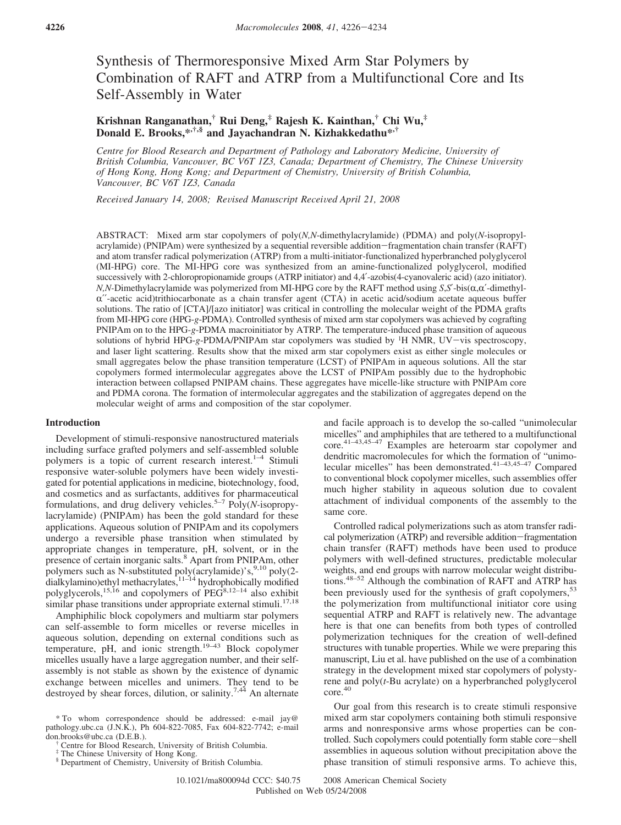# Synthesis of Thermoresponsive Mixed Arm Star Polymers by Combination of RAFT and ATRP from a Multifunctional Core and Its Self-Assembly in Water

## **Krishnan Ranganathan,† Rui Deng,‡ Rajesh K. Kainthan,† Chi Wu,‡ Donald E. Brooks,\*,†,§ and Jayachandran N. Kizhakkedathu\*,†**

*Centre for Blood Research and Department of Pathology and Laboratory Medicine, University of British Columbia, Vancouver, BC V6T 1Z3, Canada; Department of Chemistry, The Chinese University of Hong Kong, Hong Kong; and Department of Chemistry, University of British Columbia, Vancou*V*er, BC V6T 1Z3, Canada*

*Recei*V*ed January 14, 2008; Re*V*ised Manuscript Recei*V*ed April 21, 2008*

ABSTRACT: Mixed arm star copolymers of poly(*N,N*-dimethylacrylamide) (PDMA) and poly(*N*-isopropylacrylamide) (PNIPAm) were synthesized by a sequential reversible addition-fragmentation chain transfer (RAFT) and atom transfer radical polymerization (ATRP) from a multi-initiator-functionalized hyperbranched polyglycerol (MI-HPG) core. The MI-HPG core was synthesized from an amine-functionalized polyglycerol, modified successively with 2-chloropropionamide groups (ATRP initiator) and 4,4<sup>'</sup>-azobis(4-cyanovaleric acid) (azo initiator). *N,N-Dimethylacrylamide was polymerized from MI-HPG core by the RAFT method using*  $S, S'$ *-bis(* $\alpha, \alpha'$ *-dimethyl-* $\alpha$ <sup>''</sup>-acetic acid)trithiocarbonate as a chain transfer agent (CTA) in acetic acid/sodium acetate aqueous buffer solutions. The ratio of [CTA]/[azo initiator] was critical in controlling the molecular weight of the PDMA grafts from MI-HPG core (HPG-*g*-PDMA). Controlled synthesis of mixed arm star copolymers was achieved by cografting PNIPAm on to the HPG-*g*-PDMA macroinitiator by ATRP. The temperature-induced phase transition of aqueous solutions of hybrid HPG-*g*-PDMA/PNIPAm star copolymers was studied by 1H NMR, UV-vis spectroscopy, and laser light scattering. Results show that the mixed arm star copolymers exist as either single molecules or small aggregates below the phase transition temperature (LCST) of PNIPAm in aqueous solutions. All the star copolymers formed intermolecular aggregates above the LCST of PNIPAm possibly due to the hydrophobic interaction between collapsed PNIPAM chains. These aggregates have micelle-like structure with PNIPAm core and PDMA corona. The formation of intermolecular aggregates and the stabilization of aggregates depend on the molecular weight of arms and composition of the star copolymer.

### **Introduction**

Development of stimuli-responsive nanostructured materials including surface grafted polymers and self-assembled soluble polymers is a topic of current research interest.<sup>1-4</sup> Stimuli responsive water-soluble polymers have been widely investigated for potential applications in medicine, biotechnology, food, and cosmetics and as surfactants, additives for pharmaceutical formulations, and drug delivery vehicles.5–7 Poly(*N-*isopropylacrylamide) (PNIPAm) has been the gold standard for these applications. Aqueous solution of PNIPAm and its copolymers undergo a reversible phase transition when stimulated by appropriate changes in temperature, pH, solvent, or in the presence of certain inorganic salts.<sup>8</sup> Apart from PNIPAm, other polymers such as N-substituted poly(acrylamide)'s,<sup>9,10</sup> poly(2dialkylamino)ethyl methacrylates,11–14 hydrophobically modified polyglycerols,<sup>15,16</sup> and copolymers of  $\overline{PEG}^{8,12-14}$  also exhibit similar phase transitions under appropriate external stimuli.<sup>17,18</sup>

Amphiphilic block copolymers and multiarm star polymers can self-assemble to form micelles or reverse micelles in aqueous solution, depending on external conditions such as temperature, pH, and ionic strength.19–43 Block copolymer micelles usually have a large aggregation number, and their selfassembly is not stable as shown by the existence of dynamic exchange between micelles and unimers. They tend to be destroyed by shear forces, dilution, or salinity.7,44 An alternate and facile approach is to develop the so-called "unimolecular micelles" and amphiphiles that are tethered to a multifunctional core.<sup>41–43,45–47</sup> Examples are heteroarm star copolymer and dendritic macromolecules for which the formation of "unimolecular micelles" has been demonstrated.<sup>41-43,45-47</sup> Compared to conventional block copolymer micelles, such assemblies offer much higher stability in aqueous solution due to covalent attachment of individual components of the assembly to the same core.

Controlled radical polymerizations such as atom transfer radical polymerization (ATRP) and reversible addition-fragmentation chain transfer (RAFT) methods have been used to produce polymers with well-defined structures, predictable molecular weights, and end groups with narrow molecular weight distributions.48–52 Although the combination of RAFT and ATRP has been previously used for the synthesis of graft copolymers,<sup>53</sup> the polymerization from multifunctional initiator core using sequential ATRP and RAFT is relatively new. The advantage here is that one can benefits from both types of controlled polymerization techniques for the creation of well-defined structures with tunable properties. While we were preparing this manuscript, Liu et al. have published on the use of a combination strategy in the development mixed star copolymers of polystyrene and poly(*t*-Bu acrylate) on a hyperbranched polyglycerol core.40

Our goal from this research is to create stimuli responsive mixed arm star copolymers containing both stimuli responsive arms and nonresponsive arms whose properties can be controlled. Such copolymers could potentially form stable core-shell assemblies in aqueous solution without precipitation above the phase transition of stimuli responsive arms. To achieve this,

<sup>\*</sup> To whom correspondence should be addressed: e-mail jay@ pathology.ubc.ca (J.N.K.), Ph 604-822-7085, Fax 604-822-7742; e-mail don.brooks@ubc.ca (D.E.B.).

 $\text{L}^{\dagger}$  Centre for Blood Research, University of British Columbia.  $\text{L}^{\dagger}$  The Chinese University of Hong Kong. § Department of Chemistry, University of British Columbia.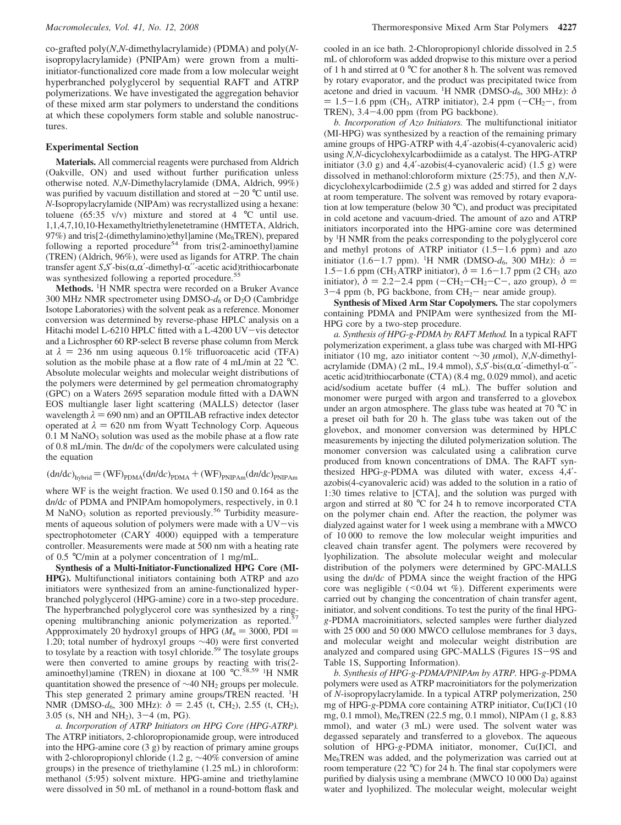co-grafted poly(*N*,*N*-dimethylacrylamide) (PDMA) and poly(*N*isopropylacrylamide) (PNIPAm) were grown from a multiinitiator-functionalized core made from a low molecular weight hyperbranched polyglycerol by sequential RAFT and ATRP polymerizations. We have investigated the aggregation behavior of these mixed arm star polymers to understand the conditions at which these copolymers form stable and soluble nanostructures.

## **Experimental Section**

**Materials.** All commercial reagents were purchased from Aldrich (Oakville, ON) and used without further purification unless otherwise noted. *N*,*N*-Dimethylacrylamide (DMA, Aldrich, 99%) was purified by vacuum distillation and stored at  $-20$  °C until use. *N*-Isopropylacrylamide (NIPAm) was recrystallized using a hexane: toluene (65:35 v/v) mixture and stored at 4  $^{\circ}$ C until use. 1,1,4,7,10,10-Hexamethyltriethylenetetramine (HMTETA, Aldrich, 97%) and tris<sup>[2-(dimethylamino)ethyl]amine (Me<sub>6</sub>TREN), prepared</sup> following a reported procedure<sup>54</sup> from tris(2-aminoethyl)amine (TREN) (Aldrich, 96%), were used as ligands for ATRP. The chain transfer agent  $S, S'$ -bis( $\alpha, \alpha'$ -dimethyl- $\alpha''$ -acetic acid)trithiocarbonate was synthesized following a reported procedure.<sup>55</sup>

**Methods.** 1H NMR spectra were recorded on a Bruker Avance 300 MHz NMR spectrometer using DMSO-*d*<sup>6</sup> or D2O (Cambridge Isotope Laboratories) with the solvent peak as a reference. Monomer conversion was determined by reverse-phase HPLC analysis on a Hitachi model L-6210 HPLC fitted with a L-4200 UV-vis detector and a Lichrospher 60 RP-select B reverse phase column from Merck at  $\lambda = 236$  nm using aqueous 0.1% trifluoroacetic acid (TFA) solution as the mobile phase at a flow rate of 4 mL/min at 22 °C. Absolute molecular weights and molecular weight distributions of the polymers were determined by gel permeation chromatography (GPC) on a Waters 2695 separation module fitted with a DAWN EOS multiangle laser light scattering (MALLS) detector (laser wavelength  $\lambda = 690$  nm) and an OPTILAB refractive index detector operated at  $\lambda = 620$  nm from Wyatt Technology Corp. Aqueous  $0.1$  M NaNO<sub>3</sub> solution was used as the mobile phase at a flow rate of 0.8 mL/min. The d*n*/d*c* of the copolymers were calculated using the equation

## $(dn/dc)_{\text{hybrid}} = (WF)_{\text{PDMA}}(dn/dc)_{\text{PDMA}} + (WF)_{\text{PNIPAm}}(dn/dc)_{\text{PNIPAm}}$

where WF is the weight fraction. We used 0.150 and 0.164 as the d*n*/d*c* of PDMA and PNIPAm homopolymers, respectively, in 0.1 M NaNO<sub>3</sub> solution as reported previously.<sup>56</sup> Turbidity measurements of aqueous solution of polymers were made with a UV-vis spectrophotometer (CARY 4000) equipped with a temperature controller. Measurements were made at 500 nm with a heating rate of 0.5 °C/min at a polymer concentration of 1 mg/mL.

**Synthesis of a Multi-Initiator-Functionalized HPG Core (MI-HPG).** Multifunctional initiators containing both ATRP and azo initiators were synthesized from an amine-functionalized hyperbranched polyglycerol (HPG-amine) core in a two-step procedure. The hyperbranched polyglycerol core was synthesized by a ring-<br>opening multibranching anionic polymerization as reported.<sup>57</sup> Appproximately 20 hydroxyl groups of HPG ( $M_n = 3000$ , PDI  $=$ 1.20; total number of hydroxyl groups ∼40) were first converted to tosylate by a reaction with tosyl chloride.<sup>59</sup> The tosylate groups were then converted to amine groups by reacting with tris(2 aminoethyl)amine (TREN) in dioxane at 100 °C.<sup>58,59</sup> <sup>1</sup>H NMR quantitation showed the presence of  $\sim$ 40 NH<sub>2</sub> groups per molecule. This step generated 2 primary amine groups/TREN reacted. 1H NMR (DMSO- $d_6$ , 300 MHz):  $\delta = 2.45$  (t, CH<sub>2</sub>), 2.55 (t, CH<sub>2</sub>), 3.05 (s, NH and NH<sub>2</sub>),  $3-4$  (m, PG).

*a. Incorporation of ATRP Initiators on HPG Core (HPG-ATRP).* The ATRP initiators, 2-chloropropionamide group, were introduced into the HPG-amine core (3 g) by reaction of primary amine groups with 2-chloropropionyl chloride (1.2 g, ∼40% conversion of amine groups) in the presence of triethylamine (1.25 mL) in chloroform: methanol (5:95) solvent mixture. HPG-amine and triethylamine were dissolved in 50 mL of methanol in a round-bottom flask and cooled in an ice bath. 2-Chloropropionyl chloride dissolved in 2.5 mL of chloroform was added dropwise to this mixture over a period of 1 h and stirred at 0 °C for another 8 h. The solvent was removed by rotary evaporator, and the product was precipitated twice from acetone and dried in vacuum. <sup>1</sup>H NMR (DMSO- $d_6$ , 300 MHz):  $\delta$  $= 1.5-1.6$  ppm (CH<sub>3</sub>, ATRP initiator), 2.4 ppm ( $-CH<sub>2</sub>$ ), from TREN), 3.4-4.00 ppm (from PG backbone).

*b. Incorporation of Azo Initiators.* The multifunctional initiator (MI-HPG) was synthesized by a reaction of the remaining primary amine groups of HPG-ATRP with 4,4′-azobis(4-cyanovaleric acid) using *N,N*-dicyclohexylcarbodiimide as a catalyst. The HPG-ATRP initiator  $(3.0 \text{ g})$  and  $4.4'$ -azobis $(4$ -cyanovaleric acid)  $(1.5 \text{ g})$  were dissolved in methanol:chloroform mixture (25:75), and then *N*,*N*dicyclohexylcarbodiimide (2.5 g) was added and stirred for 2 days at room temperature. The solvent was removed by rotary evaporation at low temperature (below 30 °C), and product was precipitated in cold acetone and vacuum-dried. The amount of azo and ATRP initiators incorporated into the HPG-amine core was determined by 1H NMR from the peaks corresponding to the polyglycerol core and methyl protons of ATRP initiator  $(1.5-1.6$  ppm) and azo initiator (1.6-1.7 ppm). <sup>1</sup>H NMR (DMSO- $d_6$ , 300 MHz):  $\delta$  = 1.5-1.6 ppm (CH<sub>3</sub> ATRP initiator),  $\delta = 1.6-1.7$  ppm (2 CH<sub>3</sub> azo initiator),  $\delta = 2.2-2.4$  ppm (-CH<sub>2</sub>-CH<sub>2</sub>-C<sub>-</sub> azo group),  $\delta =$ initiator),  $\delta = 2.2 - 2.4$  ppm ( $\text{C}H_2\text{C}H_2\text{C}$ , azo group),  $\delta =$  $3-4$  ppm (b, PG backbone, from CH<sub>2</sub>- near amide group).

**Synthesis of Mixed Arm Star Copolymers.** The star copolymers containing PDMA and PNIPAm were synthesized from the MI-HPG core by a two-step procedure.

*a. Synthesis of HPG-g-PDMA by RAFT Method.* In a typical RAFT polymerization experiment, a glass tube was charged with MI-HPG initiator (10 mg, azo initiator content ∼30 *µ*mol), *N*,*N*-dimethylacrylamide (DMA) (2 mL, 19.4 mmol),  $S, S'$ -bis( $\alpha, \alpha'$ -dimethyl- $\alpha''$ acetic acid)trithiocarbonate (CTA) (8.4 mg, 0.029 mmol), and acetic acid/sodium acetate buffer (4 mL). The buffer solution and monomer were purged with argon and transferred to a glovebox under an argon atmosphere. The glass tube was heated at 70 °C in a preset oil bath for 20 h. The glass tube was taken out of the glovebox, and monomer conversion was determined by HPLC measurements by injecting the diluted polymerization solution. The monomer conversion was calculated using a calibration curve produced from known concentrations of DMA. The RAFT synthesized HPG-*g*-PDMA was diluted with water, excess 4,4′ azobis(4-cyanovaleric acid) was added to the solution in a ratio of 1:30 times relative to [CTA], and the solution was purged with argon and stirred at 80 °C for 24 h to remove incorporated CTA on the polymer chain end. After the reaction, the polymer was dialyzed against water for 1 week using a membrane with a MWCO of 10 000 to remove the low molecular weight impurities and cleaved chain transfer agent. The polymers were recovered by lyophilization. The absolute molecular weight and molecular distribution of the polymers were determined by GPC-MALLS using the d*n*/d*c* of PDMA since the weight fraction of the HPG core was negligible  $($  < 0.04 wt  $\%$ ). Different experiments were carried out by changing the concentration of chain transfer agent, initiator, and solvent conditions. To test the purity of the final HPG*g*-PDMA macroinitiators, selected samples were further dialyzed with 25 000 and 50 000 MWCO cellulose membranes for 3 days, and molecular weight and molecular weight distribution are analyzed and compared using GPC-MALLS (Figures 1S-9S and Table 1S, Supporting Information).

*b. Synthesis of HPG-g-PDMA/PNIPAm by ATRP.* HPG-*g*-PDMA polymers were used as ATRP macroinitiators for the polymerization of *N*-isopropylacrylamide. In a typical ATRP polymerization, 250 mg of HPG-*g*-PDMA core containing ATRP initiator, Cu(I)Cl (10 mg, 0.1 mmol), Me6TREN (22.5 mg, 0.1 mmol), NIPAm (1 g, 8.83 mmol), and water (3 mL) were used. The solvent water was degassed separately and transferred to a glovebox. The aqueous solution of HPG-*g*-PDMA initiator, monomer, Cu(I)Cl, and Me<sub>6</sub>TREN was added, and the polymerization was carried out at room temperature (22 °C) for 24 h. The final star copolymers were purified by dialysis using a membrane (MWCO 10 000 Da) against water and lyophilized. The molecular weight, molecular weight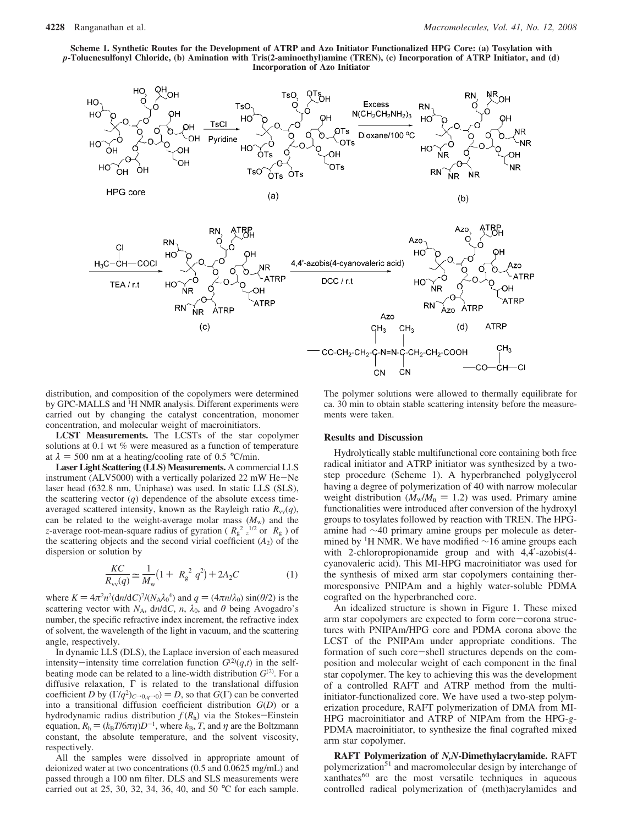**Scheme 1. Synthetic Routes for the Development of ATRP and Azo Initiator Functionalized HPG Core: (a) Tosylation with** *p***-Toluenesulfonyl Chloride, (b) Amination with Tris(2-aminoethyl)amine (TREN), (c) Incorporation of ATRP Initiator, and (d) Incorporation of Azo Initiator**



distribution, and composition of the copolymers were determined by GPC-MALLS and 1H NMR analysis. Different experiments were carried out by changing the catalyst concentration, monomer concentration, and molecular weight of macroinitiators.

**LCST Measurements.** The LCSTs of the star copolymer solutions at 0.1 wt % were measured as a function of temperature at  $\lambda = 500$  nm at a heating/cooling rate of 0.5 °C/min.

**Laser Light Scattering (LLS) Measurements.** A commercial LLS instrument (ALV5000) with a vertically polarized 22 mW He-Ne laser head (632.8 nm, Uniphase) was used. In static LLS (SLS), the scattering vector  $(q)$  dependence of the absolute excess timeaveraged scattered intensity, known as the Rayleigh ratio  $R_{vv}(q)$ , can be related to the weight-average molar mass  $(M_w)$  and the *z*-average root-mean-square radius of gyration ( $\langle R_g^2 \rangle_z^{1/2}$  or  $\langle R_g \rangle$ ) of the scattering objects and the second virial coefficient  $(A_2)$  of the dispersion or solution by

$$
\frac{KC}{R_{\rm w}(q)} \approx \frac{1}{M_{\rm w}} \left( 1 + \langle R_{\rm g}^2 \rangle q^2 \right) + 2A_2 C \tag{1}
$$

where  $K = 4\pi^2 n^2 (dn/dC)^2 / (N_A\lambda_0^4)$  and  $q = (4\pi n/\lambda_0) \sin(\theta/2)$  is the scattering vector with  $N_A$ , duldC,  $n, \lambda_0$  and  $\theta$  being Avogadro's scattering vector with  $N_A$ , dn/dC,  $n$ ,  $\lambda_0$ , and  $\theta$  being Avogadro's number, the specific refractive index increment, the refractive index of solvent, the wavelength of the light in vacuum, and the scattering angle, respectively.

In dynamic LLS (DLS), the Laplace inversion of each measured intensity-intensity time correlation function  $G^{(2)}(q,t)$  in the selfbeating mode can be related to a line-width distribution  $G^{(2)}$ . For a diffusive relaxation,  $\Gamma$  is related to the translational diffusion coefficient *D* by  $(\Gamma/q^2)_{C\to0,q\to0}$   $= D$ , so that  $G(\Gamma)$  can be converted into a transitional diffusion coefficient distribution *G*(*D*) or a hydrodynamic radius distribution *<sup>f</sup>* (*R*h) via the Stokes-Einstein equation,  $R_h = (k_B T/6\pi\eta)D^{-1}$ , where  $k_B$ , *T*, and  $\eta$  are the Boltzmann constant, the absolute temperature, and the solvent viscosity, respectively.

All the samples were dissolved in appropriate amount of deionized water at two concentrations (0.5 and 0.0625 mg/mL) and passed through a 100 nm filter. DLS and SLS measurements were carried out at 25, 30, 32, 34, 36, 40, and 50 °C for each sample.

The polymer solutions were allowed to thermally equilibrate for ca. 30 min to obtain stable scattering intensity before the measurements were taken.

## **Results and Discussion**

Hydrolytically stable multifunctional core containing both free radical initiator and ATRP initiator was synthesized by a twostep procedure (Scheme 1). A hyperbranched polyglycerol having a degree of polymerization of 40 with narrow molecular weight distribution ( $M_w/M_n = 1.2$ ) was used. Primary amine functionalities were introduced after conversion of the hydroxyl groups to tosylates followed by reaction with TREN. The HPGamine had ∼40 primary amine groups per molecule as determined by 1H NMR. We have modified ∼16 amine groups each with 2-chloropropionamide group and with 4,4<sup>'</sup>-azobis(4cyanovaleric acid). This MI-HPG macroinitiator was used for the synthesis of mixed arm star copolymers containing thermoresponsive PNIPAm and a highly water-soluble PDMA cografted on the hyperbranched core.

An idealized structure is shown in Figure 1. These mixed arm star copolymers are expected to form core-corona structures with PNIPAm/HPG core and PDMA corona above the LCST of the PNIPAm under appropriate conditions. The formation of such core-shell structures depends on the composition and molecular weight of each component in the final star copolymer. The key to achieving this was the development of a controlled RAFT and ATRP method from the multiinitiator-functionalized core. We have used a two-step polymerization procedure, RAFT polymerization of DMA from MI-HPG macroinitiator and ATRP of NIPAm from the HPG-*g*-PDMA macroinitiator, to synthesize the final cografted mixed arm star copolymer.

**RAFT Polymerization of** *N,N***-Dimethylacrylamide.** RAFT polymerization<sup>51</sup> and macromolecular design by interchange of xanthates<sup>60</sup> are the most versatile techniques in aqueous controlled radical polymerization of (meth)acrylamides and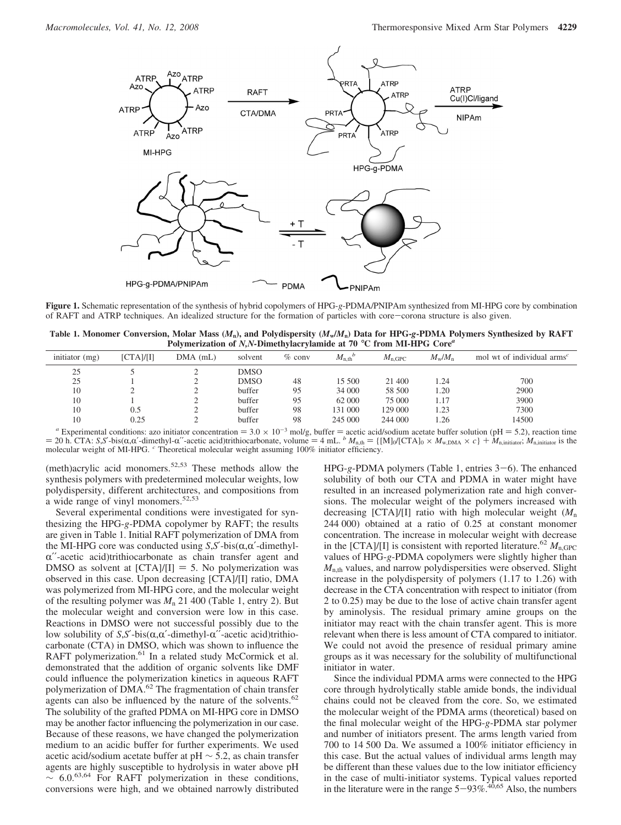

**Figure 1.** Schematic representation of the synthesis of hybrid copolymers of HPG-*g*-PDMA/PNIPAm synthesized from MI-HPG core by combination of RAFT and ATRP techniques. An idealized structure for the formation of particles with core-corona structure is also given.

| Table 1. Monomer Conversion, Molar Mass $(M_n)$ , and Polydispersity $(M_w/M_n)$ Data for HPG-g-PDMA Polymers Synthesized by RAFT |
|-----------------------------------------------------------------------------------------------------------------------------------|
| Polymerization of N,N-Dimethylacrylamide at 70 $\rm{^{\circ}C}$ from MI-HPG Core <sup>a</sup>                                     |

| initiator (mg) | [CTA]/[1] | $DMA$ (mL)              | solvent     | $\%$ conv | $M_{\rm n.th}$ <sup>b</sup>            | $M_{\rm n, GPC}$ | $M_{\rm w}/M_{\rm n}$ | mol wt of individual arms <sup>c</sup> |
|----------------|-----------|-------------------------|-------------|-----------|----------------------------------------|------------------|-----------------------|----------------------------------------|
| 25             |           |                         | <b>DMSO</b> |           |                                        |                  |                       |                                        |
| 25             |           |                         | <b>DMSO</b> | 48        | 15 500                                 | 21 400           | 1.24                  | 700                                    |
| 10             |           |                         | buffer      | 95        | 34 000                                 | 58 500           | 1.20                  | 2900                                   |
| 10             |           |                         | buffer      | 95        | 62 000                                 | 75 000           | 1.17                  | 3900                                   |
| 10             | 0.5       |                         | buffer      | 98        | 131 000                                | 129 000          | 1.23                  | 7300                                   |
| 10             | 0.25      |                         | buffer      | 98        | 245 000                                | 244 000          | 1.26                  | 14500                                  |
| $\sim$ $-$     | $\cdots$  | $\cdot$ $\cdot$ $\cdot$ |             |           | المال الممارين المتحدث المساري المساري |                  |                       | .<br>$   -$<br>.                       |

*a* Experimental conditions: azo initiator concentration =  $3.0 \times 10^{-3}$  mol/g, buffer = acetic acid/sodium acetate buffer solution (pH = 5.2), reaction time  $\frac{1}{2}$  acetic acid/solution of  $\frac{1}{2}$  acetic acid/trithio  $=$  20 h. CTA: *S*,*S*<sup>'</sup>-bis(α,α'-dimethyl-α''-acetic acid)trithiocarbonate, volume  $=$  4 mL. <sup>*b*</sup> *M*<sub>n,th</sub>  $=$  {[M]0/[CTA]0 × *M*<sub>w,DMA</sub> × *c*} +  $M$ <sub>n,initiator</sub>;  $M$ <sub>n,initiator</sub> is the molecular weight assuming 10 molecular weight of MI-HPG. *<sup>c</sup>* Theoretical molecular weight assuming 100% initiator efficiency.

(meth)acrylic acid monomers.<sup>52,53</sup> These methods allow the synthesis polymers with predetermined molecular weights, low polydispersity, different architectures, and compositions from a wide range of vinyl monomers. $52,53$ 

Several experimental conditions were investigated for synthesizing the HPG-*g*-PDMA copolymer by RAFT; the results are given in Table 1. Initial RAFT polymerization of DMA from the MI-HPG core was conducted using  $S, S'$ -bis( $\alpha, \alpha'$ -dimethyl- $\alpha$ <sup>"</sup>-acetic acid)trithiocarbonate as chain transfer agent and DMSO as solvent at  $[CTA]/[I] = 5$ . No polymerization was observed in this case. Upon decreasing [CTA]/[I] ratio, DMA was polymerized from MI-HPG core, and the molecular weight of the resulting polymer was *M*<sup>n</sup> 21 400 (Table 1, entry 2). But the molecular weight and conversion were low in this case. Reactions in DMSO were not successful possibly due to the low solubility of *S*,*S'*-bis( $\alpha$ , $\alpha'$ -dimethyl- $\alpha''$ -acetic acid)trithiocarbonate (CTA) in DMSO, which was shown to influence the RAFT polymerization.<sup>61</sup> In a related study McCormick et al. demonstrated that the addition of organic solvents like DMF could influence the polymerization kinetics in aqueous RAFT polymerization of DMA.62 The fragmentation of chain transfer agents can also be influenced by the nature of the solvents.<sup>62</sup> The solubility of the grafted PDMA on MI-HPG core in DMSO may be another factor influencing the polymerization in our case. Because of these reasons, we have changed the polymerization medium to an acidic buffer for further experiments. We used acetic acid/sodium acetate buffer at pH ∼ 5.2, as chain transfer agents are highly susceptible to hydrolysis in water above pH  $\sim$  6.0.<sup>63,64</sup> For RAFT polymerization in these conditions, conversions were high, and we obtained narrowly distributed HPG-*g*-PDMA polymers (Table 1, entries 3-6). The enhanced solubility of both our CTA and PDMA in water might have resulted in an increased polymerization rate and high conversions. The molecular weight of the polymers increased with decreasing [CTA]/[I] ratio with high molecular weight (*M*<sup>n</sup> 244 000) obtained at a ratio of 0.25 at constant monomer concentration. The increase in molecular weight with decrease in the [CTA]/[I] is consistent with reported literature.<sup>62</sup>  $M_{n,\text{GPC}}$ values of HPG-*g*-PDMA copolymers were slightly higher than  $M_{n,th}$  values, and narrow polydispersities were observed. Slight increase in the polydispersity of polymers (1.17 to 1.26) with decrease in the CTA concentration with respect to initiator (from 2 to 0.25) may be due to the lose of active chain transfer agent by aminolysis. The residual primary amine groups on the initiator may react with the chain transfer agent. This is more relevant when there is less amount of CTA compared to initiator. We could not avoid the presence of residual primary amine groups as it was necessary for the solubility of multifunctional initiator in water.

Since the individual PDMA arms were connected to the HPG core through hydrolytically stable amide bonds, the individual chains could not be cleaved from the core. So, we estimated the molecular weight of the PDMA arms (theoretical) based on the final molecular weight of the HPG-*g*-PDMA star polymer and number of initiators present. The arms length varied from 700 to 14 500 Da. We assumed a 100% initiator efficiency in this case. But the actual values of individual arms length may be different than these values due to the low initiator efficiency in the case of multi-initiator systems. Typical values reported in the literature were in the range  $5-93\%$ .<sup>40,65</sup> Also, the numbers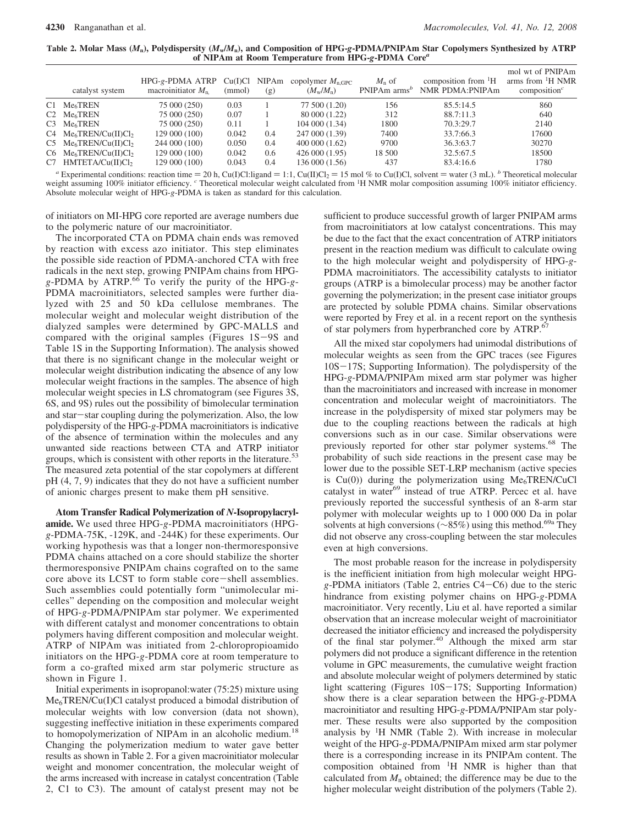**Table 2. Molar Mass (***M***n), Polydispersity (***M***w/***M***n), and Composition of HPG-***g***-PDMA/PNIPAm Star Copolymers Synthesized by ATRP of NIPAm at Room Temperature from HPG-***g***-PDMA Core***<sup>a</sup>*

|    | catalyst system                                 | $HPG-g-PDMA ATRP$ $Cu(I)Cl$ $NIPAm$<br>macroinitiator $M_{\rm n}$ | (mmol) | (g) | copolymer $M_{\text{n-GPC}}$<br>$(M_w/M_n)$ | $M_n$ of<br>$PNIPAm\; arms^b$ | composition from ${}^{1}H$<br><b>NMR PDMA:PNIPAm</b> | mol wt of PNIPAm<br>arms from ${}^{1}H$ NMR<br>composition $\epsilon$ |
|----|-------------------------------------------------|-------------------------------------------------------------------|--------|-----|---------------------------------------------|-------------------------------|------------------------------------------------------|-----------------------------------------------------------------------|
| C1 | Me <sub>6</sub> TREN                            | 75 000 (250)                                                      | 0.03   |     | 77 500 (1.20)                               | 156                           | 85.5:14.5                                            | 860                                                                   |
|    | $C2$ Me <sub>6</sub> TREN                       | 75 000 (250)                                                      | 0.07   |     | 80 000 (1.22)                               | 312                           | 88.7:11.3                                            | 640                                                                   |
|    | $C3$ Me <sub>6</sub> TREN                       | 75 000 (250)                                                      | 0.11   |     | 104000(1.34)                                | 1800                          | 70.3:29.7                                            | 2140                                                                  |
|    | $C4$ Me <sub>6</sub> TREN/Cu(II)Cl <sub>2</sub> | 129 000 (100)                                                     | 0.042  | 0.4 | 247 000 (1.39)                              | 7400                          | 33.7:66.3                                            | 17600                                                                 |
|    | $C5$ Me <sub>6</sub> TREN/Cu(II)Cl <sub>2</sub> | 244 000 (100)                                                     | 0.050  | 0.4 | 400000(1.62)                                | 9700                          | 36.3:63.7                                            | 30270                                                                 |
|    | $C6$ Me <sub>6</sub> TREN/Cu(II)Cl <sub>2</sub> | 129 000 (100)                                                     | 0.042  | 0.6 | 426 000 (1.95)                              | 18 500                        | 32.5:67.5                                            | 18500                                                                 |
| C7 | HMTETA/Cu(II)Cl <sub>2</sub>                    | 129 000 (100)                                                     | 0.043  | 0.4 | 136 000 (1.56)                              | 437                           | 83.4:16.6                                            | 1780                                                                  |

*a* Experimental conditions: reaction time = 20 h, Cu(I)Cl:ligand = 1:1, Cu(II)Cl<sub>2</sub> = 15 mol % to Cu(I)Cl, solvent = water (3 mL). *b* Theoretical molecular weight assuming 100% initiator efficiency. <sup>c</sup> Theoretical molecular weight calculated from <sup>1</sup>H NMR molar composition assuming 100% initiator efficiency. Absolute molecular weight of HPG-*g*-PDMA is taken as standard for this calculation.

of initiators on MI-HPG core reported are average numbers due to the polymeric nature of our macroinitiator.

The incorporated CTA on PDMA chain ends was removed by reaction with excess azo initiator. This step eliminates the possible side reaction of PDMA-anchored CTA with free radicals in the next step, growing PNIPAm chains from HPG*g*-PDMA by ATRP.<sup>66</sup> To verify the purity of the HPG-*g*-PDMA macroinitiators, selected samples were further dialyzed with 25 and 50 kDa cellulose membranes. The molecular weight and molecular weight distribution of the dialyzed samples were determined by GPC-MALLS and compared with the original samples (Figures 1S-9S and Table 1S in the Supporting Information). The analysis showed that there is no significant change in the molecular weight or molecular weight distribution indicating the absence of any low molecular weight fractions in the samples. The absence of high molecular weight species in LS chromatogram (see Figures 3S, 6S, and 9S) rules out the possibility of bimolecular termination and star-star coupling during the polymerization. Also, the low polydispersity of the HPG-*g*-PDMA macroinitiators is indicative of the absence of termination within the molecules and any unwanted side reactions between CTA and ATRP initiator groups, which is consistent with other reports in the literature.<sup>53</sup> The measured zeta potential of the star copolymers at different pH (4, 7, 9) indicates that they do not have a sufficient number of anionic charges present to make them pH sensitive.

**Atom Transfer Radical Polymerization of** *N***-Isopropylacrylamide.** We used three HPG-*g*-PDMA macroinitiators (HPG*g*-PDMA-75K, -129K, and -244K) for these experiments. Our working hypothesis was that a longer non-thermoresponsive PDMA chains attached on a core should stabilize the shorter thermoresponsive PNIPAm chains cografted on to the same core above its LCST to form stable core-shell assemblies. Such assemblies could potentially form "unimolecular micelles" depending on the composition and molecular weight of HPG-*g*-PDMA/PNIPAm star polymer. We experimented with different catalyst and monomer concentrations to obtain polymers having different composition and molecular weight. ATRP of NIPAm was initiated from 2-chloropropioamido initiators on the HPG-*g*-PDMA core at room temperature to form a co-grafted mixed arm star polymeric structure as shown in Figure 1.

Initial experiments in isopropanol:water (75:25) mixture using Me<sub>6</sub>TREN/Cu(I)Cl catalyst produced a bimodal distribution of molecular weights with low conversion (data not shown), suggesting ineffective initiation in these experiments compared to homopolymerization of NIPAm in an alcoholic medium.<sup>18</sup> Changing the polymerization medium to water gave better results as shown in Table 2. For a given macroinitiator molecular weight and monomer concentration, the molecular weight of the arms increased with increase in catalyst concentration (Table 2, C1 to C3). The amount of catalyst present may not be sufficient to produce successful growth of larger PNIPAM arms from macroinitiators at low catalyst concentrations. This may be due to the fact that the exact concentration of ATRP initiators present in the reaction medium was difficult to calculate owing to the high molecular weight and polydispersity of HPG-*g*-PDMA macroinitiators. The accessibility catalysts to initiator groups (ATRP is a bimolecular process) may be another factor governing the polymerization; in the present case initiator groups are protected by soluble PDMA chains. Similar observations were reported by Frey et al. in a recent report on the synthesis of star polymers from hyperbranched core by ATRP.<sup>67</sup>

All the mixed star copolymers had unimodal distributions of molecular weights as seen from the GPC traces (see Figures 10S-17S; Supporting Information). The polydispersity of the HPG-*g*-PDMA/PNIPAm mixed arm star polymer was higher than the macroinitiators and increased with increase in monomer concentration and molecular weight of macroinitiators. The increase in the polydispersity of mixed star polymers may be due to the coupling reactions between the radicals at high conversions such as in our case. Similar observations were previously reported for other star polymer systems.68 The probability of such side reactions in the present case may be lower due to the possible SET-LRP mechanism (active species is  $Cu(0)$ ) during the polymerization using Me<sub>6</sub>TREN/CuCl catalyst in water<sup>69</sup> instead of true ATRP. Percec et al. have previously reported the successful synthesis of an 8-arm star polymer with molecular weights up to 1 000 000 Da in polar solvents at high conversions (∼85%) using this method.<sup>69a</sup> They did not observe any cross-coupling between the star molecules even at high conversions.

The most probable reason for the increase in polydispersity is the inefficient initiation from high molecular weight HPG*<sup>g</sup>*-PDMA initiators (Table 2, entries C4-C6) due to the steric hindrance from existing polymer chains on HPG-*g-*PDMA macroinitiator. Very recently, Liu et al. have reported a similar observation that an increase molecular weight of macroinitiator decreased the initiator efficiency and increased the polydispersity of the final star polymer.40 Although the mixed arm star polymers did not produce a significant difference in the retention volume in GPC measurements, the cumulative weight fraction and absolute molecular weight of polymers determined by static light scattering (Figures 10S-17S; Supporting Information) show there is a clear separation between the HPG-*g*-PDMA macroinitiator and resulting HPG-*g*-PDMA/PNIPAm star polymer. These results were also supported by the composition analysis by  ${}^{1}H$  NMR (Table 2). With increase in molecular weight of the HPG-*g*-PDMA/PNIPAm mixed arm star polymer there is a corresponding increase in its PNIPAm content. The composition obtained from 1H NMR is higher than that calculated from  $M_n$  obtained; the difference may be due to the higher molecular weight distribution of the polymers (Table 2).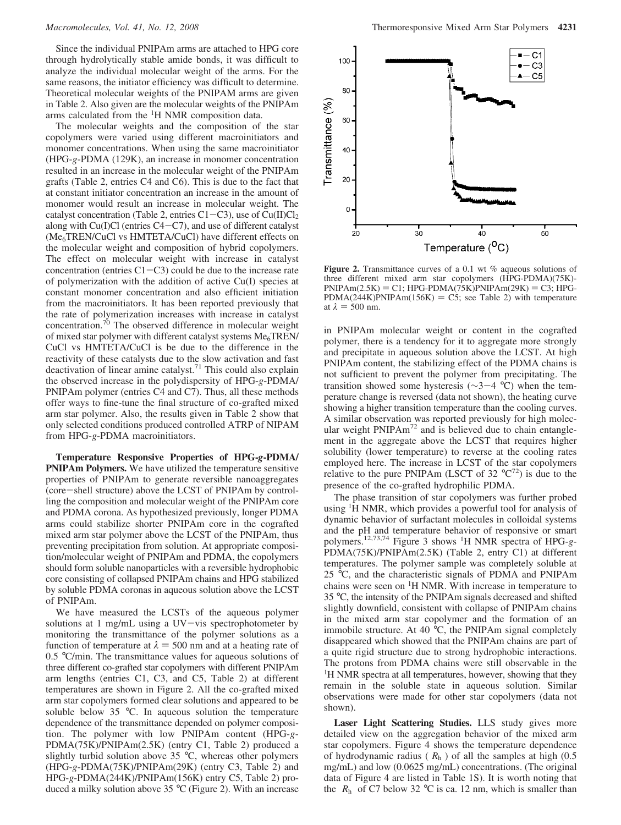Since the individual PNIPAm arms are attached to HPG core through hydrolytically stable amide bonds, it was difficult to analyze the individual molecular weight of the arms. For the same reasons, the initiator efficiency was difficult to determine. Theoretical molecular weights of the PNIPAM arms are given in Table 2. Also given are the molecular weights of the PNIPAm arms calculated from the 1H NMR composition data.

The molecular weights and the composition of the star copolymers were varied using different macroinitiators and monomer concentrations. When using the same macroinitiator (HPG-*g*-PDMA (129K), an increase in monomer concentration resulted in an increase in the molecular weight of the PNIPAm grafts (Table 2, entries C4 and C6). This is due to the fact that at constant initiator concentration an increase in the amount of monomer would result an increase in molecular weight. The catalyst concentration (Table 2, entries  $C1-C3$ ), use of Cu(II)Cl<sub>2</sub> along with  $Cu(I)Cl$  (entries  $C4-C7$ ), and use of different catalyst (Me6TREN/CuCl vs HMTETA/CuCl) have different effects on the molecular weight and composition of hybrid copolymers. The effect on molecular weight with increase in catalyst concentration (entries  $C1 - C3$ ) could be due to the increase rate of polymerization with the addition of active Cu(I) species at constant monomer concentration and also efficient initiation from the macroinitiators. It has been reported previously that the rate of polymerization increases with increase in catalyst concentration.<sup>70</sup> The observed difference in molecular weight of mixed star polymer with different catalyst systems Me<sub>6</sub>TREN/ CuCl vs HMTETA/CuCl is be due to the difference in the reactivity of these catalysts due to the slow activation and fast deactivation of linear amine catalyst.<sup>71</sup> This could also explain the observed increase in the polydispersity of HPG-*g*-PDMA/ PNIPAm polymer (entries C4 and C7). Thus, all these methods offer ways to fine-tune the final structure of co-grafted mixed arm star polymer. Also, the results given in Table 2 show that only selected conditions produced controlled ATRP of NIPAM from HPG-*g*-PDMA macroinitiators.

**Temperature Responsive Properties of HPG-***g***-PDMA/ PNIPAm Polymers.** We have utilized the temperature sensitive properties of PNIPAm to generate reversible nanoaggregates (core-shell structure) above the LCST of PNIPAm by controlling the composition and molecular weight of the PNIPAm core and PDMA corona. As hypothesized previously, longer PDMA arms could stabilize shorter PNIPAm core in the cografted mixed arm star polymer above the LCST of the PNIPAm, thus preventing precipitation from solution. At appropriate composition/molecular weight of PNIPAm and PDMA, the copolymers should form soluble nanoparticles with a reversible hydrophobic core consisting of collapsed PNIPAm chains and HPG stabilized by soluble PDMA coronas in aqueous solution above the LCST of PNIPAm.

We have measured the LCSTs of the aqueous polymer solutions at 1 mg/mL using a UV-vis spectrophotometer by monitoring the transmittance of the polymer solutions as a function of temperature at  $\lambda = 500$  nm and at a heating rate of 0.5 °C/min. The transmittance values for aqueous solutions of three different co-grafted star copolymers with different PNIPAm arm lengths (entries C1, C3, and C5, Table 2) at different temperatures are shown in Figure 2. All the co-grafted mixed arm star copolymers formed clear solutions and appeared to be soluble below 35 °C. In aqueous solution the temperature dependence of the transmittance depended on polymer composition. The polymer with low PNIPAm content (HPG-*g*-PDMA(75K)/PNIPAm(2.5K) (entry C1, Table 2) produced a slightly turbid solution above 35 °C, whereas other polymers (HPG-*g*-PDMA(75K)/PNIPAm(29K) (entry C3, Table 2) and HPG-*g*-PDMA(244K)/PNIPAm(156K) entry C5, Table 2) produced a milky solution above 35 °C (Figure 2). With an increase



Figure 2. Transmittance curves of a 0.1 wt % aqueous solutions of three different mixed arm star copolymers (HPG-PDMA)(75K)-  $PNIPAm(2.5K) = C1$ ; HPG-PDMA(75K)PNIPAm(29K) = C3; HPG-PDMA(244K)PNIPAm(156K) = C5; see Table 2) with temperature at  $\lambda = 500$  nm.

in PNIPAm molecular weight or content in the cografted polymer, there is a tendency for it to aggregate more strongly and precipitate in aqueous solution above the LCST. At high PNIPAm content, the stabilizing effect of the PDMA chains is not sufficient to prevent the polymer from precipitating. The transition showed some hysteresis (∼3-<sup>4</sup> °C) when the temperature change is reversed (data not shown), the heating curve showing a higher transition temperature than the cooling curves. A similar observation was reported previously for high molecular weight PNIPAm<sup>72</sup> and is believed due to chain entanglement in the aggregate above the LCST that requires higher solubility (lower temperature) to reverse at the cooling rates employed here. The increase in LCST of the star copolymers relative to the pure PNIPAm (LSCT of 32 $\degree$ C<sup>72</sup>) is due to the presence of the co-grafted hydrophilic PDMA.

The phase transition of star copolymers was further probed using 1H NMR, which provides a powerful tool for analysis of dynamic behavior of surfactant molecules in colloidal systems and the pH and temperature behavior of responsive or smart polymers.12,73,74 Figure 3 shows 1H NMR spectra of HPG-*g*-PDMA(75K)/PNIPAm(2.5K) (Table 2, entry C1) at different temperatures. The polymer sample was completely soluble at 25 °C, and the characteristic signals of PDMA and PNIPAm chains were seen on 1H NMR. With increase in temperature to 35 °C, the intensity of the PNIPAm signals decreased and shifted slightly downfield, consistent with collapse of PNIPAm chains in the mixed arm star copolymer and the formation of an immobile structure. At 40 $\degree$ C, the PNIPAm signal completely disappeared which showed that the PNIPAm chains are part of a quite rigid structure due to strong hydrophobic interactions. The protons from PDMA chains were still observable in the <sup>1</sup>H NMR spectra at all temperatures, however, showing that they remain in the soluble state in aqueous solution. Similar observations were made for other star copolymers (data not shown).

**Laser Light Scattering Studies.** LLS study gives more detailed view on the aggregation behavior of the mixed arm star copolymers. Figure 4 shows the temperature dependence of hydrodynamic radius  $(\langle R_{h} \rangle)$  of all the samples at high (0.5) mg/mL) and low (0.0625 mg/mL) concentrations. (The original data of Figure 4 are listed in Table 1S). It is worth noting that the  $\langle R_h \rangle$  of C7 below 32 °C is ca. 12 nm, which is smaller than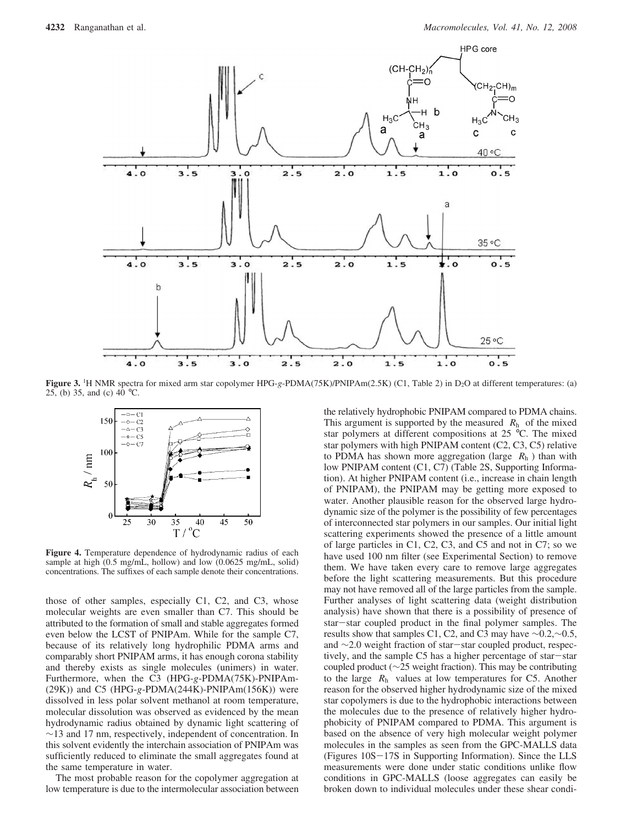

**Figure 3.** <sup>1</sup>H NMR spectra for mixed arm star copolymer HPG-*g*-PDMA(75K)/PNIPAm(2.5K) (C1, Table 2) in D<sub>2</sub>O at different temperatures: (a) 25, (b) 35, and (c) 40 °C.



**Figure 4.** Temperature dependence of hydrodynamic radius of each sample at high (0.5 mg/mL, hollow) and low (0.0625 mg/mL, solid) concentrations. The suffixes of each sample denote their concentrations.

those of other samples, especially C1, C2, and C3, whose molecular weights are even smaller than C7. This should be attributed to the formation of small and stable aggregates formed even below the LCST of PNIPAm. While for the sample C7, because of its relatively long hydrophilic PDMA arms and comparably short PNIPAM arms, it has enough corona stability and thereby exists as single molecules (unimers) in water. Furthermore, when the C3 (HPG-*g*-PDMA(75K)-PNIPAm- (29K)) and C5 (HPG-*g*-PDMA(244K)-PNIPAm(156K)) were dissolved in less polar solvent methanol at room temperature, molecular dissolution was observed as evidenced by the mean hydrodynamic radius obtained by dynamic light scattering of ∼13 and 17 nm, respectively, independent of concentration. In this solvent evidently the interchain association of PNIPAm was sufficiently reduced to eliminate the small aggregates found at the same temperature in water.

The most probable reason for the copolymer aggregation at low temperature is due to the intermolecular association between the relatively hydrophobic PNIPAM compared to PDMA chains. This argument is supported by the measured  $\langle R_{\rm h} \rangle$  of the mixed star polymers at different compositions at 25 °C. The mixed star polymers with high PNIPAM content (C2, C3, C5) relative to PDMA has shown more aggregation (large  $\langle R_{h} \rangle$ ) than with low PNIPAM content (C1, C7) (Table 2S, Supporting Information). At higher PNIPAM content (i.e., increase in chain length of PNIPAM), the PNIPAM may be getting more exposed to water. Another plausible reason for the observed large hydrodynamic size of the polymer is the possibility of few percentages of interconnected star polymers in our samples. Our initial light scattering experiments showed the presence of a little amount of large particles in C1, C2, C3, and C5 and not in C7; so we have used 100 nm filter (see Experimental Section) to remove them. We have taken every care to remove large aggregates before the light scattering measurements. But this procedure may not have removed all of the large particles from the sample. Further analyses of light scattering data (weight distribution analysis) have shown that there is a possibility of presence of star-star coupled product in the final polymer samples. The results show that samples C1, C2, and C3 may have ∼0.2,∼0.5, and <sup>∼</sup>2.0 weight fraction of star-star coupled product, respectively, and the sample C5 has a higher percentage of star-star coupled product (∼25 weight fraction). This may be contributing to the large  $\langle R_{h} \rangle$  values at low temperatures for C5. Another reason for the observed higher hydrodynamic size of the mixed star copolymers is due to the hydrophobic interactions between the molecules due to the presence of relatively higher hydrophobicity of PNIPAM compared to PDMA. This argument is based on the absence of very high molecular weight polymer molecules in the samples as seen from the GPC-MALLS data (Figures 10S-17S in Supporting Information). Since the LLS measurements were done under static conditions unlike flow conditions in GPC-MALLS (loose aggregates can easily be broken down to individual molecules under these shear condi-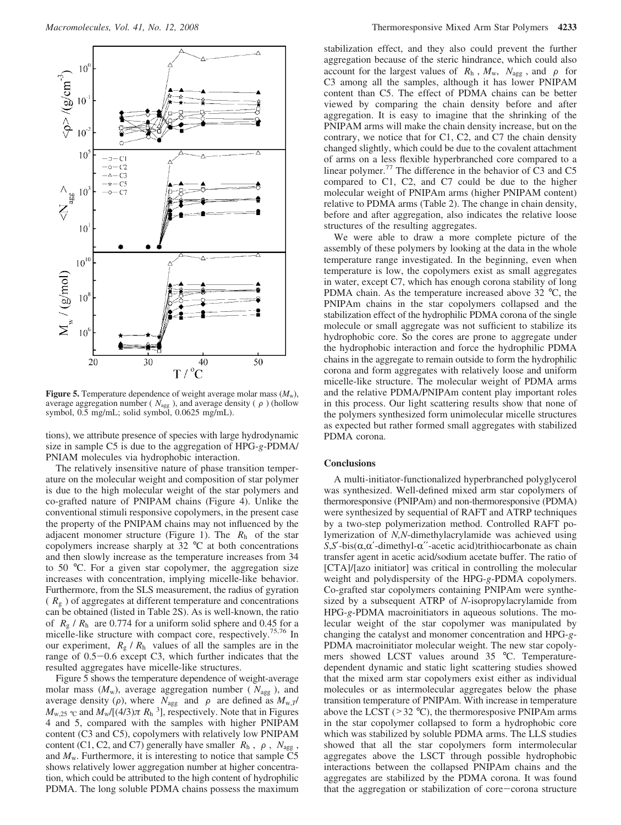

**Figure 5.** Temperature dependence of weight average molar mass  $(M_w)$ , average aggregation number ( $\langle N_{\text{agg}} \rangle$ ), and average density ( $\langle \rho \rangle$ ) (hollow symbol, 0.5 mg/mL; solid symbol, 0.0625 mg/mL).

tions), we attribute presence of species with large hydrodynamic size in sample C5 is due to the aggregation of HPG-*g*-PDMA/ PNIAM molecules via hydrophobic interaction.

The relatively insensitive nature of phase transition temperature on the molecular weight and composition of star polymer is due to the high molecular weight of the star polymers and co-grafted nature of PNIPAM chains (Figure 4). Unlike the conventional stimuli responsive copolymers, in the present case the property of the PNIPAM chains may not influenced by the adjacent monomer structure (Figure 1). The  $\langle R_{h} \rangle$  of the star copolymers increase sharply at 32 °C at both concentrations and then slowly increase as the temperature increases from 34 to 50 °C. For a given star copolymer, the aggregation size increases with concentration, implying micelle-like behavior. Furthermore, from the SLS measurement, the radius of gyration  $(\langle R_{\rm g} \rangle)$  of aggregates at different temperature and concentrations can be obtained (listed in Table 2S). As is well-known, the ratio of  $\langle R_g \rangle / \langle R_h \rangle$  are 0.774 for a uniform solid sphere and 0.45 for a micelle-like structure with compact core, respectively.75,76 In our experiment,  $\langle R_g \rangle / \langle R_h \rangle$  values of all the samples are in the range of 0.5-0.6 except C3, which further indicates that the resulted aggregates have micelle-like structures.

Figure 5 shows the temperature dependence of weight-average molar mass  $(M_w)$ , average aggregation number  $(\langle N_{agg} \rangle)$ , and average density ( $\rho$ ), where  $\langle N_{\text{agg}} \rangle$  and  $\langle \rho \rangle$  are defined as  $M_{\text{w},T}$  $M_{\text{w,25}}$  °C and  $M_{\text{w}}/[(4/3)\pi \langle R_{\text{h}} \rangle^3]$ , respectively. Note that in Figures 4 and 5, compared with the samples with higher PNIPAM content (C3 and C5), copolymers with relatively low PNIPAM content (C1, C2, and C7) generally have smaller  $\langle R_{\rm h} \rangle$ ,  $\langle \rho \rangle$ ,  $\langle N_{\rm agg} \rangle$ , and *M*w. Furthermore, it is interesting to notice that sample C5 shows relatively lower aggregation number at higher concentration, which could be attributed to the high content of hydrophilic PDMA. The long soluble PDMA chains possess the maximum stabilization effect, and they also could prevent the further aggregation because of the steric hindrance, which could also account for the largest values of  $\langle R_{\rm h} \rangle$ ,  $M_{\rm w}$ ,  $\langle N_{\rm agg} \rangle$ , and  $\langle \rho \rangle$  for C3 among all the samples, although it has lower PNIPAM content than C5. The effect of PDMA chains can be better viewed by comparing the chain density before and after aggregation. It is easy to imagine that the shrinking of the PNIPAM arms will make the chain density increase, but on the contrary, we notice that for C1, C2, and C7 the chain density changed slightly, which could be due to the covalent attachment of arms on a less flexible hyperbranched core compared to a linear polymer.<sup>77</sup> The difference in the behavior of  $\dot{C}3$  and  $C5$ compared to C1, C2, and C7 could be due to the higher molecular weight of PNIPAm arms (higher PNIPAM content) relative to PDMA arms (Table 2). The change in chain density, before and after aggregation, also indicates the relative loose structures of the resulting aggregates.

We were able to draw a more complete picture of the assembly of these polymers by looking at the data in the whole temperature range investigated. In the beginning, even when temperature is low, the copolymers exist as small aggregates in water, except C7, which has enough corona stability of long PDMA chain. As the temperature increased above 32 °C, the PNIPAm chains in the star copolymers collapsed and the stabilization effect of the hydrophilic PDMA corona of the single molecule or small aggregate was not sufficient to stabilize its hydrophobic core. So the cores are prone to aggregate under the hydrophobic interaction and force the hydrophilic PDMA chains in the aggregate to remain outside to form the hydrophilic corona and form aggregates with relatively loose and uniform micelle-like structure. The molecular weight of PDMA arms and the relative PDMA/PNIPAm content play important roles in this process. Our light scattering results show that none of the polymers synthesized form unimolecular micelle structures as expected but rather formed small aggregates with stabilized PDMA corona.

## **Conclusions**

A multi-initiator-functionalized hyperbranched polyglycerol was synthesized. Well-defined mixed arm star copolymers of thermoresponsive (PNIPAm) and non-thermoresponsive (PDMA) were synthesized by sequential of RAFT and ATRP techniques by a two-step polymerization method. Controlled RAFT polymerization of *N,N*-dimethylacrylamide was achieved using  $S, S'$ -bis( $\alpha, \alpha'$ -dimethyl- $\alpha''$ -acetic acid)trithiocarbonate as chain transfer agent in acetic acid/sodium acetate buffer. The ratio of [CTA]/[azo initiator] was critical in controlling the molecular weight and polydispersity of the HPG-*g*-PDMA copolymers. Co-grafted star copolymers containing PNIPAm were synthesized by a subsequent ATRP of *N*-isopropylacrylamide from HPG-*g*-PDMA macroinitiators in aqueous solutions. The molecular weight of the star copolymer was manipulated by changing the catalyst and monomer concentration and HPG-*g*-PDMA macroinitiator molecular weight. The new star copolymers showed LCST values around 35 °C. Temperaturedependent dynamic and static light scattering studies showed that the mixed arm star copolymers exist either as individual molecules or as intermolecular aggregates below the phase transition temperature of PNIPAm. With increase in temperature above the LCST ( $>32 \degree$ C), the thermoresposive PNIPAm arms in the star copolymer collapsed to form a hydrophobic core which was stabilized by soluble PDMA arms. The LLS studies showed that all the star copolymers form intermolecular aggregates above the LSCT through possible hydrophobic interactions between the collapsed PNIPAm chains and the aggregates are stabilized by the PDMA corona. It was found that the aggregation or stabilization of core-corona structure